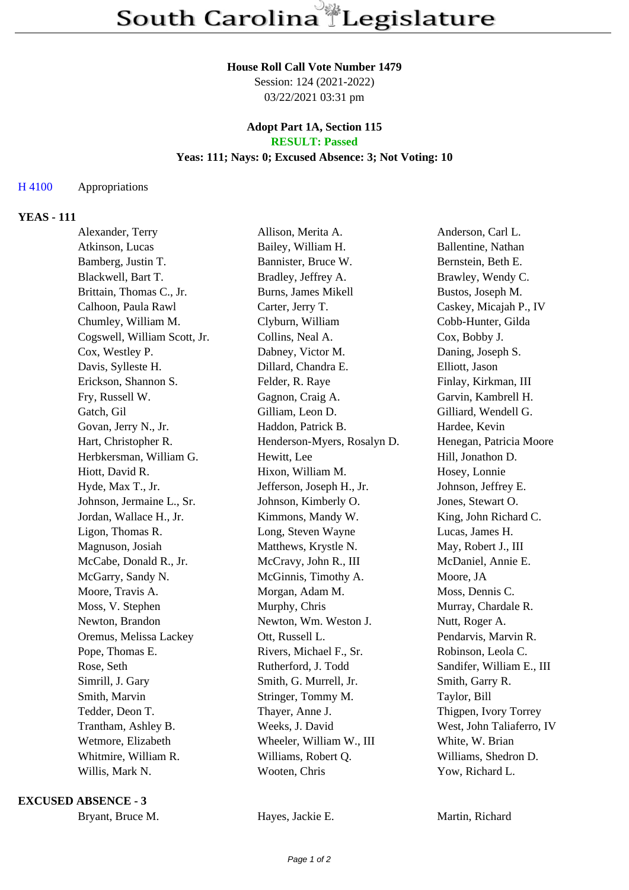#### **House Roll Call Vote Number 1479**

Session: 124 (2021-2022) 03/22/2021 03:31 pm

#### **Adopt Part 1A, Section 115 RESULT: Passed**

# **Yeas: 111; Nays: 0; Excused Absence: 3; Not Voting: 10**

## H 4100 Appropriations

## **YEAS - 111**

| Alexander, Terry             | Allison, Merita A.          | Anderson, Carl L.         |
|------------------------------|-----------------------------|---------------------------|
| Atkinson, Lucas              | Bailey, William H.          | Ballentine, Nathan        |
| Bamberg, Justin T.           | Bannister, Bruce W.         | Bernstein, Beth E.        |
| Blackwell, Bart T.           | Bradley, Jeffrey A.         | Brawley, Wendy C.         |
| Brittain, Thomas C., Jr.     | Burns, James Mikell         | Bustos, Joseph M.         |
| Calhoon, Paula Rawl          | Carter, Jerry T.            | Caskey, Micajah P., IV    |
| Chumley, William M.          | Clyburn, William            | Cobb-Hunter, Gilda        |
| Cogswell, William Scott, Jr. | Collins, Neal A.            | Cox, Bobby J.             |
| Cox, Westley P.              | Dabney, Victor M.           | Daning, Joseph S.         |
| Davis, Sylleste H.           | Dillard, Chandra E.         | Elliott, Jason            |
| Erickson, Shannon S.         | Felder, R. Raye             | Finlay, Kirkman, III      |
| Fry, Russell W.              | Gagnon, Craig A.            | Garvin, Kambrell H.       |
| Gatch, Gil                   | Gilliam, Leon D.            | Gilliard, Wendell G.      |
| Govan, Jerry N., Jr.         | Haddon, Patrick B.          | Hardee, Kevin             |
| Hart, Christopher R.         | Henderson-Myers, Rosalyn D. | Henegan, Patricia Moore   |
| Herbkersman, William G.      | Hewitt, Lee                 | Hill, Jonathon D.         |
| Hiott, David R.              | Hixon, William M.           | Hosey, Lonnie             |
| Hyde, Max T., Jr.            | Jefferson, Joseph H., Jr.   | Johnson, Jeffrey E.       |
| Johnson, Jermaine L., Sr.    | Johnson, Kimberly O.        | Jones, Stewart O.         |
| Jordan, Wallace H., Jr.      | Kimmons, Mandy W.           | King, John Richard C.     |
| Ligon, Thomas R.             | Long, Steven Wayne          | Lucas, James H.           |
| Magnuson, Josiah             | Matthews, Krystle N.        | May, Robert J., III       |
| McCabe, Donald R., Jr.       | McCravy, John R., III       | McDaniel, Annie E.        |
| McGarry, Sandy N.            | McGinnis, Timothy A.        | Moore, JA                 |
| Moore, Travis A.             | Morgan, Adam M.             | Moss, Dennis C.           |
| Moss, V. Stephen             | Murphy, Chris               | Murray, Chardale R.       |
| Newton, Brandon              | Newton, Wm. Weston J.       | Nutt, Roger A.            |
| Oremus, Melissa Lackey       | Ott, Russell L.             | Pendarvis, Marvin R.      |
| Pope, Thomas E.              | Rivers, Michael F., Sr.     | Robinson, Leola C.        |
| Rose, Seth                   | Rutherford, J. Todd         | Sandifer, William E., III |
| Simrill, J. Gary             | Smith, G. Murrell, Jr.      | Smith, Garry R.           |
| Smith, Marvin                | Stringer, Tommy M.          | Taylor, Bill              |
| Tedder, Deon T.              | Thayer, Anne J.             | Thigpen, Ivory Torrey     |
| Trantham, Ashley B.          | Weeks, J. David             | West, John Taliaferro, IV |
| Wetmore, Elizabeth           | Wheeler, William W., III    | White, W. Brian           |
| Whitmire, William R.         | Williams, Robert Q.         | Williams, Shedron D.      |
| Willis, Mark N.              | Wooten, Chris               | Yow, Richard L.           |
|                              |                             |                           |

**EXCUSED ABSENCE - 3**

Bryant, Bruce M. **Hayes, Jackie E.** Martin, Richard